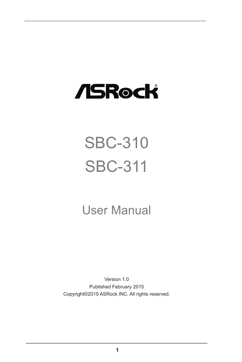# **/ISRock**

# SBC-310 SBC-311

# User Manual

Version 1.0 Published February 2015 Copyright©2015 ASRock INC. All rights reserved.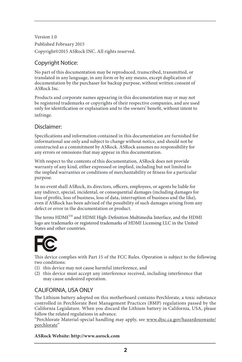Version 1.0 Published February 2015 Copyright©2015 ASRock INC. All rights reserved.

### Copyright Notice:

No part of this documentation may be reproduced, transcribed, transmitted, or translated in any language, in any form or by any means, except duplication of documentation by the purchaser for backup purpose, without written consent of ASRock Inc.

Products and corporate names appearing in this documentation may or may not be registered trademarks or copyrights of their respective companies, and are used only for identification or explanation and to the owners' benefit, without intent to infringe.

### Disclaimer:

Specifications and information contained in this documentation are furnished for informational use only and subject to change without notice, and should not be constructed as a commitment by ASRock. ASRock assumes no responsibility for any errors or omissions that may appear in this documentation.

With respect to the contents of this documentation, ASRock does not provide warranty of any kind, either expressed or implied, including but not limited to the implied warranties or conditions of merchantability or fitness for a particular purpose.

In no event shall ASRock, its directors, officers, employees, or agents be liable for any indirect, special, incidental, or consequential damages (including damages for loss of profits, loss of business, loss of data, interruption of business and the like), even if ASRock has been advised of the possibility of such damages arising from any defect or error in the documentation or product.

 $\mathsf{T}$  terms  $\mathsf{H}\mathsf{D}\mathsf{M}\mathsf{I}^{\mathsf{T}\mathsf{M}}$  and  $\mathsf{H}\mathsf{D}\mathsf{M}\mathsf{I}$  High-Definition Multimedia Interface, and the  $\mathsf{H}\mathsf{D}\mathsf{M}\mathsf{I}$ logo are trademarks or registered trademarks of HDMI Licensing LLC in the United States and other countries.

This device complies with Part 15 of the FCC Rules. Operation is subject to the following two conditions:

- (1) this device may not cause harmful interference, and
- (2) this device must accept any interference received, including interference that may cause undesired operation.

### CALIFORNIA, USA ONLY

The Lithium battery adopted on this motherboard contains Perchlorate, a toxic substance controlled in Perchlorate Best Management Practices (BMP) regulations passed by the California Legislature. When you discard the Lithium battery in California, USA, please follow the related regulations in advance.

"Perchlorate Material-special handling may apply, see www.dtsc.ca.gov/hazardouswaste/ perchlorate"

### **ASRock Website: http://www.asrock.com**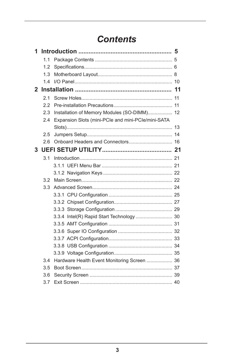# **Contents**

| 1. |     |                                                    |  |  |  |  |
|----|-----|----------------------------------------------------|--|--|--|--|
|    | 11  |                                                    |  |  |  |  |
|    | 1.2 |                                                    |  |  |  |  |
|    | 1.3 |                                                    |  |  |  |  |
|    | 14  |                                                    |  |  |  |  |
|    |     |                                                    |  |  |  |  |
|    | 21  |                                                    |  |  |  |  |
|    | 22  |                                                    |  |  |  |  |
|    | 2.3 | Installation of Memory Modules (SO-DIMM) 12        |  |  |  |  |
|    | 2.4 | Expansion Slots (mini-PCIe and mini-PCIe/mini-SATA |  |  |  |  |
|    |     |                                                    |  |  |  |  |
|    | 2.5 |                                                    |  |  |  |  |
|    | 26  |                                                    |  |  |  |  |
|    |     |                                                    |  |  |  |  |
|    | 3.1 |                                                    |  |  |  |  |
|    |     |                                                    |  |  |  |  |
|    |     |                                                    |  |  |  |  |
|    | 32  |                                                    |  |  |  |  |
|    | 3.3 |                                                    |  |  |  |  |
|    |     |                                                    |  |  |  |  |
|    |     |                                                    |  |  |  |  |
|    |     |                                                    |  |  |  |  |
|    |     | 3.3.4 Intel(R) Rapid Start Technology  30          |  |  |  |  |
|    |     |                                                    |  |  |  |  |
|    |     |                                                    |  |  |  |  |
|    |     |                                                    |  |  |  |  |
|    |     |                                                    |  |  |  |  |
|    |     |                                                    |  |  |  |  |
|    | 34  | Hardware Health Event Monitoring Screen  36        |  |  |  |  |
|    | 3.5 |                                                    |  |  |  |  |
|    | 3.6 |                                                    |  |  |  |  |
|    | 3.7 |                                                    |  |  |  |  |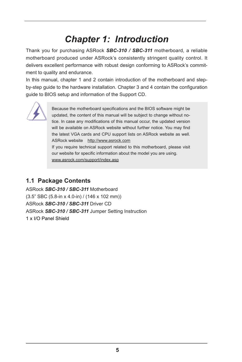## *Chapter 1: Introduction*

Thank you for purchasing ASRock *SBC-310 / SBC-311* motherboard, a reliable motherboard produced under ASRock's consistently stringent quality control. It delivers excellent performance with robust design conforming to ASRock's commitment to quality and endurance.

In this manual, chapter 1 and 2 contain introduction of the motherboard and stepby-step guide to the hardware installation. Chapter 3 and 4 contain the configuration guide to BIOS setup and information of the Support CD.



Because the motherboard specifications and the BIOS software might be updated, the content of this manual will be subject to change without notice. In case any modifications of this manual occur, the updated version will be available on ASRock website without further notice. You may find the latest VGA cards and CPU support lists on ASRock website as well. ASRock website http://www.asrock.com

If you require technical support related to this motherboard, please visit our website for specific information about the model you are using. www.asrock.com/support/index.asp

### **1.1 Package Contents**

ASRock *SBC-310 / SBC-311* Motherboard (3.5" SBC (5.8-in x 4.0-in) / (146 x 102 mm)) ASRock *SBC-310 / SBC-311* Driver CD ASRock *SBC-310 / SBC-311* Jumper Setting Instruction 1 x I/O Panel Shield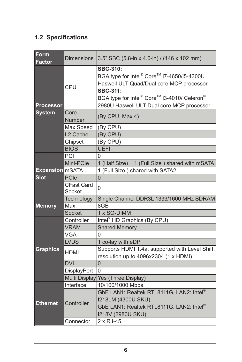### **1.2 Specifications**

| Form<br><b>Factor</b>  | <b>Dimensions</b>           | 3.5" SBC (5.8-in x 4.0-in) / (146 x 102 mm)                                                                                                                                                                              |  |  |
|------------------------|-----------------------------|--------------------------------------------------------------------------------------------------------------------------------------------------------------------------------------------------------------------------|--|--|
| <b>Processor</b>       | CPU                         | <b>SBC-310:</b><br>BGA type for Intel® Core™ i7-4650/i5-4300U<br>Haswell ULT Quad/Dual core MCP processor<br><b>SBC-311:</b><br>BGA type for Intel® Core™ i3-4010/ Celeron®<br>2980U Haswell ULT Dual core MCP processor |  |  |
| <b>System</b>          | Core<br>Number              | (By CPU, Max 4)                                                                                                                                                                                                          |  |  |
|                        | Max Speed                   | (By CPU)                                                                                                                                                                                                                 |  |  |
|                        | L <sub>2</sub> Cache        | (By CPU)                                                                                                                                                                                                                 |  |  |
|                        | Chipset                     | (By CPU)                                                                                                                                                                                                                 |  |  |
|                        | <b>BIOS</b>                 | <b>UEFI</b>                                                                                                                                                                                                              |  |  |
|                        | PCI                         | 0                                                                                                                                                                                                                        |  |  |
|                        | Mini-PCle                   | 1 (Half Size) + 1 (Full Size) shared with mSATA                                                                                                                                                                          |  |  |
| <b>Expansion mSATA</b> |                             | 1 (Full Size) shared with SATA2                                                                                                                                                                                          |  |  |
| <b>Slot</b>            | PCle                        | $\overline{0}$                                                                                                                                                                                                           |  |  |
|                        | <b>CFast Card</b><br>Socket | 0                                                                                                                                                                                                                        |  |  |
|                        | Technology                  | Single Channel DDR3L 1333/1600 MHz SDRAM                                                                                                                                                                                 |  |  |
| <b>Memory</b>          | Max.                        | 8GB                                                                                                                                                                                                                      |  |  |
|                        | Socket                      | 1 x SO-DIMM                                                                                                                                                                                                              |  |  |
|                        | Controller                  | Intel <sup>®</sup> HD Graphics (By CPU)                                                                                                                                                                                  |  |  |
|                        | <b>VRAM</b>                 | <b>Shared Memory</b>                                                                                                                                                                                                     |  |  |
|                        | <b>VGA</b>                  | 0                                                                                                                                                                                                                        |  |  |
|                        | <b>LVDS</b>                 | 1 co-lay with eDP                                                                                                                                                                                                        |  |  |
| <b>Graphics</b>        | <b>HDMI</b>                 | Supports HDMI 1.4a, supported with Level Shift,                                                                                                                                                                          |  |  |
|                        |                             | resolution up to 4096x2304 (1 x HDMI)                                                                                                                                                                                    |  |  |
|                        | <b>DVI</b>                  | $\overline{0}$                                                                                                                                                                                                           |  |  |
|                        | DisplayPort                 | 0                                                                                                                                                                                                                        |  |  |
|                        |                             | Multi Display Yes (Three Display)                                                                                                                                                                                        |  |  |
|                        | Interface                   | 10/100/1000 Mbps                                                                                                                                                                                                         |  |  |
| <b>Ethernet</b>        | Controller                  | GbE LAN1: Realtek RTL8111G, LAN2: Intel®<br>I218LM (4300U SKU)<br>GbE LAN1: Realtek RTL8111G, LAN2: Intel®<br>I218V (2980U SKU)                                                                                          |  |  |
|                        | Connector                   | 2 x RJ-45                                                                                                                                                                                                                |  |  |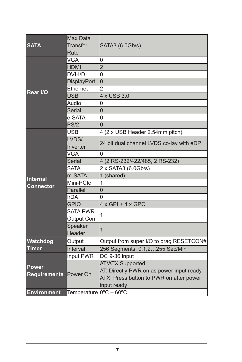| <b>SATA</b>           | Max Data<br><b>Transfer</b><br>Rate | SATA3 (6.0Gb/s)                          |  |  |
|-----------------------|-------------------------------------|------------------------------------------|--|--|
|                       | <b>VGA</b>                          | 0                                        |  |  |
|                       | <b>HDMI</b>                         | $\overline{2}$                           |  |  |
|                       | DVI-I/D                             | $\overline{0}$                           |  |  |
|                       | DisplayPort                         | $\overline{0}$                           |  |  |
| Rear I/O              | Ethernet                            | $\overline{2}$                           |  |  |
|                       | <b>USB</b>                          | 4 x USB 3.0                              |  |  |
|                       | Audio                               | 0                                        |  |  |
|                       | Serial                              | $\overline{0}$                           |  |  |
|                       | e-SATA                              | 0                                        |  |  |
|                       | <b>PS/2</b>                         | $\overline{0}$                           |  |  |
|                       | <b>USB</b>                          | 4 (2 x USB Header 2.54mm pitch)          |  |  |
|                       | LVDS/                               |                                          |  |  |
|                       | Inverter                            | 24 bit dual channel LVDS co-lay with eDP |  |  |
|                       | <b>VGA</b>                          | 0                                        |  |  |
|                       | Serial                              | 4 (2 RS-232/422/485, 2 RS-232)           |  |  |
|                       | <b>SATA</b>                         | 2 x SATA3 (6.0Gb/s)                      |  |  |
| Internal              | m-SATA                              | 1 (shared)                               |  |  |
| <b>Connector</b>      | Mini-PCIe                           | 1                                        |  |  |
|                       | Parallel                            | $\overline{0}$                           |  |  |
|                       | <b>IrDA</b>                         | 0                                        |  |  |
|                       | <b>GPIO</b>                         | $4 \times$ GPI + $4 \times$ GPO          |  |  |
|                       | <b>SATA PWR</b>                     | $\mathbf{1}$                             |  |  |
|                       | Output Con                          |                                          |  |  |
|                       | Speaker                             | $\mathbf{1}$                             |  |  |
|                       | Header                              |                                          |  |  |
| Watchdog              | Output                              | Output from super I/O to drag RESETCON#  |  |  |
| <b>Timer</b>          | Interval                            | 256 Segments, 0,1,2255 Sec/Min           |  |  |
|                       | Input PWR                           | DC 9-36 input                            |  |  |
| <b>Power</b>          |                                     | <b>AT/ATX Supported</b>                  |  |  |
|                       |                                     | AT: Directly PWR on as power input ready |  |  |
| Requirements Power On |                                     | ATX: Press button to PWR on after power  |  |  |
|                       |                                     | input ready                              |  |  |
| <b>Environment</b>    | Temperature $0^{\circ}$ C - 60°C    |                                          |  |  |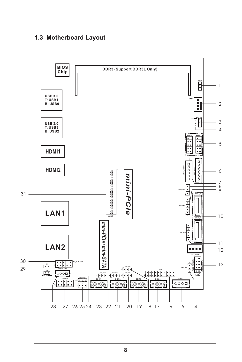### **1.3 Motherboard Layout**

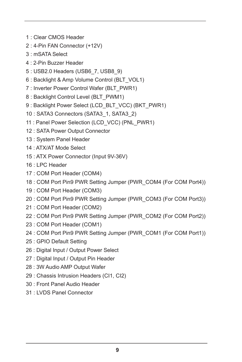- 1 : Clear CMOS Header
- 2 : 4-Pin FAN Connector (+12V)
- 3 : mSATA Select
- 4 : 2-Pin Buzzer Header
- 5 : USB2.0 Headers (USB6\_7, USB8\_9)
- 6 : Backlight & Amp Volume Control (BLT\_VOL1)
- 7 : Inverter Power Control Wafer (BLT\_PWR1)
- 8 : Backlight Control Level (BLT\_PWM1)
- 9 : Backlight Power Select (LCD\_BLT\_VCC) (BKT\_PWR1)
- 10 : SATA3 Connectors (SATA3\_1, SATA3\_2)
- 11 : Panel Power Selection (LCD\_VCC) (PNL\_PWR1)
- 12 : SATA Power Output Connector
- 13 : System Panel Header
- 14 : ATX/AT Mode Select
- 15 : ATX Power Connector (Input 9V-36V)
- 16 : LPC Header
- 17 : COM Port Header (COM4)
- 18 : COM Port Pin9 PWR Setting Jumper (PWR\_COM4 (For COM Port4))
- 19 : COM Port Header (COM3)
- 20 : COM Port Pin9 PWR Setting Jumper (PWR\_COM3 (For COM Port3))
- 21 : COM Port Header (COM2)
- 22 : COM Port Pin9 PWR Setting Jumper (PWR\_COM2 (For COM Port2))
- 23 : COM Port Header (COM1)
- 24 : COM Port Pin9 PWR Setting Jumper (PWR\_COM1 (For COM Port1))
- 25 : GPIO Default Setting
- 26 : Digital Input / Output Power Select
- 27 : Digital Input / Output Pin Header
- 28 : 3W Audio AMP Output Wafer
- 29 : Chassis Intrusion Headers (CI1, CI2)
- 30 : Front Panel Audio Header
- 31 : LVDS Panel Connector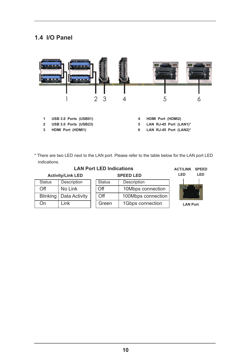### **1.4 I/O Panel**



\* There are two LED next to the LAN port. Please refer to the table below for the LAN port LED indications.

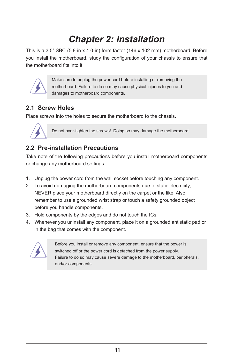# *Chapter 2: Installation*

This is a 3.5" SBC (5.8-in x 4.0-in) form factor (146 x 102 mm) motherboard. Before you install the motherboard, study the configuration of your chassis to ensure that the motherboard fits into it.



Make sure to unplug the power cord before installing or removing the motherboard. Failure to do so may cause physical injuries to you and damages to motherboard components.

### **2.1 Screw Holes**

Place screws into the holes to secure the motherboard to the chassis.



Do not over-tighten the screws! Doing so may damage the motherboard.

### **2.2 Pre-installation Precautions**

Take note of the following precautions before you install motherboard components or change any motherboard settings.

- 1. Unplug the power cord from the wall socket before touching any component.
- 2. To avoid damaging the motherboard components due to static electricity, NEVER place your motherboard directly on the carpet or the like. Also remember to use a grounded wrist strap or touch a safety grounded object before you handle components.
- 3. Hold components by the edges and do not touch the ICs.
- 4. Whenever you uninstall any component, place it on a grounded antistatic pad or in the bag that comes with the component.



 Before you install or remove any component, ensure that the power is switched off or the power cord is detached from the power supply. Failure to do so may cause severe damage to the motherboard, peripherals, and/or components.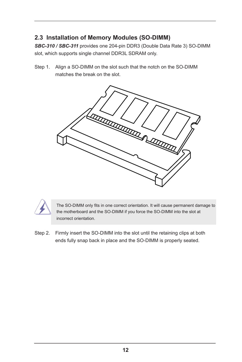### **2.3 Installation of Memory Modules (SO-DIMM)**

*SBC-310 / SBC-311* provides one 204-pin DDR3 (Double Data Rate 3) SO-DIMM slot, which supports single channel DDR3L SDRAM only.

Step 1. Align a SO-DIMM on the slot such that the notch on the SO-DIMM matches the break on the slot.





The SO-DIMM only fits in one correct orientation. It will cause permanent damage to the motherboard and the SO-DIMM if you force the SO-DIMM into the slot at incorrect orientation.

Step 2. Firmly insert the SO-DIMM into the slot until the retaining clips at both ends fully snap back in place and the SO-DIMM is properly seated.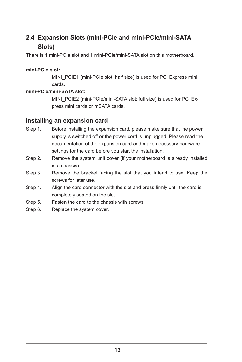### **2.4 Expansion Slots (mini-PCIe and mini-PCIe/mini-SATA Slots)**

There is 1 mini-PCIe slot and 1 mini-PCIe/mini-SATA slot on this motherboard.

### **mini-PCIe slot:**

MINI\_PCIE1 (mini-PCIe slot; half size) is used for PCI Express mini cards.

### **mini-PCIe/mini-SATA slot:**

MINI\_PCIE2 (mini-PCIe/mini-SATA slot; full size) is used for PCI Express mini cards or mSATA cards.

### **Installing an expansion card**

- Step 1. Before installing the expansion card, please make sure that the power supply is switched off or the power cord is unplugged. Please read the documentation of the expansion card and make necessary hardware settings for the card before you start the installation.
- Step 2. Remove the system unit cover (if your motherboard is already installed in a chassis).
- Step 3. Remove the bracket facing the slot that you intend to use. Keep the screws for later use.
- Step 4. Align the card connector with the slot and press firmly until the card is completely seated on the slot.
- Step 5. Fasten the card to the chassis with screws.
- Step 6. Replace the system cover.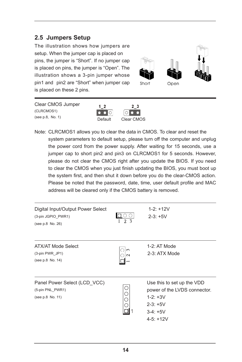### **2.5 Jumpers Setup**

The illustration shows how jumpers are setup. When the jumper cap is placed on pins, the jumper is "Short". If no jumper cap is placed on pins, the jumper is "Open". The illustration shows a 3-pin jumper whose pin1 and pin2 are "Short" when jumper cap is placed on these 2 pins.

Short





Clear CMOS Jumper (CLRCMOS1) (see p.8, No. 1)



Note: CLRCMOS1 allows you to clear the data in CMOS. To clear and reset the system parameters to default setup, please turn off the computer and unplug the power cord from the power supply. After waiting for 15 seconds, use a jumper cap to short pin2 and pin3 on CLRCMOS1 for 5 seconds. However, please do not clear the CMOS right after you update the BIOS. If you need to clear the CMOS when you just finish updating the BIOS, you must boot up the system first, and then shut it down before you do the clear-CMOS action. Please be noted that the password, date, time, user default profile and MAC address will be cleared only if the CMOS battery is removed.

| Digital Input/Output Power Select<br>(3-pin JGPIO PWR1)<br>(see p.8 No. 26) | 3<br>2                              | $1 - 2: +12V$<br>$2-3: +5V$                                                                                           |
|-----------------------------------------------------------------------------|-------------------------------------|-----------------------------------------------------------------------------------------------------------------------|
| ATX/AT Mode Select<br>(3-pin PWR JP1)<br>(see p.8 No. 14)                   | $\sim$                              | $1-2$ : AT Mode<br>2-3: ATX Mode                                                                                      |
| Panel Power Select (LCD VCC)<br>(5-pin PNL PWR1)<br>(see p.8 No. 11)        | $\circ$<br>$\circ$<br>$\frac{0}{0}$ | Use this to set up the VDD<br>power of the LVDS connector.<br>$1-2: +3V$<br>$2-3: +5V$<br>$3-4: +5V$<br>$4 - 5: +12V$ |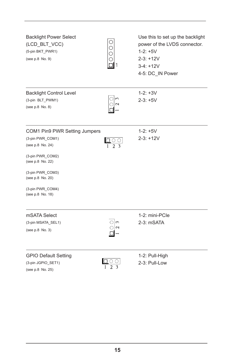| <b>Backlight Power Select</b><br>(LCD_BLT_VCC)<br>(5-pin BKT_PWR1)<br>(see p.8 No. 9) | $\circ$<br>$\frac{0}{0}$<br>0  1                             | Use this to set up the backlight<br>power of the LVDS connector.<br>$1-2: +5V$<br>$2-3: +12V$<br>$3-4: +12V$<br>4-5: DC_IN Power |
|---------------------------------------------------------------------------------------|--------------------------------------------------------------|----------------------------------------------------------------------------------------------------------------------------------|
| <b>Backlight Control Level</b>                                                        |                                                              | $1-2: +3V$                                                                                                                       |
| (3-pin BLT_PWM1)<br>(see p.8 No. 8)                                                   |                                                              | $2-3: +5V$                                                                                                                       |
| COM1 Pin9 PWR Setting Jumpers                                                         |                                                              | $1-2: +5V$                                                                                                                       |
| (3-pin PWR_COM1)<br>(see p.8 No. 24)                                                  | $\frac{\square \bigcirc \bigcirc}{\square \bigcirc \square}$ | $2-3: +12V$                                                                                                                      |
| (3-pin PWR COM2)<br>(see p.8 No. 22)                                                  |                                                              |                                                                                                                                  |
| (3-pin PWR_COM3)<br>(see p.8 No. 20)                                                  |                                                              |                                                                                                                                  |
| (3-pin PWR_COM4)<br>(see p.8 No. 18)                                                  |                                                              |                                                                                                                                  |
| mSATA Select                                                                          |                                                              | 1-2: mini-PCIe                                                                                                                   |
| (3-pin MSATA_SEL1)                                                                    |                                                              | 2-3: mSATA                                                                                                                       |
| (see p.8 No. 3)                                                                       |                                                              |                                                                                                                                  |
| <b>GPIO Default Setting</b>                                                           |                                                              | 1-2: Pull-High                                                                                                                   |
| (3-pin JGPIO_SET1)                                                                    | <u>N O O</u><br>2                                            | 2-3: Pull-Low                                                                                                                    |
| (see p.8 No. 25)                                                                      |                                                              |                                                                                                                                  |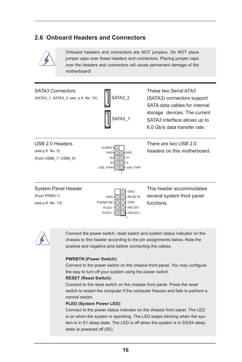### **2.6 Onboard Headers and Connectors**



Onboard headers and connectors are NOT jumpers. Do NOT place jumper caps over these headers and connectors. Placing jumper caps over the headers and connectors will cause permanent damage of the motherboard!





Connect the power switch, reset switch and system status indicator on the chassis to this header according to the pin assignments below. Note the positive and negative pins before connecting the cables.

1

#### **PWRBTN (Power Switch):**

Connect to the power switch on the chassis front panel. You may configure the way to turn off your system using the power switch.

#### **RESET (Reset Switch):**

Connect to the reset switch on the chassis front panel. Press the reset switch to restart the computer if the computer freezes and fails to perform a normal restart.

#### **PLED (System Power LED):**

Connect to the power status indicator on the chassis front panel. The LED is on when the system is operating. The LED keeps blinking when the system is in S1 sleep state. The LED is off when the system is in S3/S4 sleep state or powered off (S5).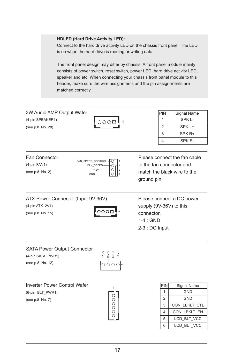#### **HDLED (Hard Drive Activity LED):**

Connect to the hard drive activity LED on the chassis front panel. The LED is on when the hard drive is reading or writing data.

The front panel design may differ by chassis. A front panel module mainly consists of power switch, reset switch, power LED, hard drive activity LED, speaker and etc. When connecting your chassis front panel module to this header, make sure the wire assignments and the pin assign-ments are matched correctly.

| 3W Audio AMP Output Wafer |                                                      | PIN                      | Signal Name                  |  |  |
|---------------------------|------------------------------------------------------|--------------------------|------------------------------|--|--|
| (4-pin SPEAKER1)          |                                                      |                          | SPK <sub>L</sub>             |  |  |
| (see p.8 No. 28)          |                                                      | $\overline{2}$           | SPK <sub>L+</sub>            |  |  |
|                           |                                                      | 3                        | SPK <sub>R+</sub>            |  |  |
|                           |                                                      | 4                        | SPK R-                       |  |  |
|                           |                                                      |                          |                              |  |  |
| Fan Connector             | FAN SPEED CONTROL $\overline{+a}$<br>$\overline{14}$ |                          | Please connect the fan cable |  |  |
| (4-pin FAN1)              | FAN SPEED-                                           | to the fan connector and |                              |  |  |
| (see p.8 No. 2)           | $+12V -$<br>GND                                      |                          | match the black wire to the  |  |  |

ATX Power Connector (Input 9V-36V) Please connect a DC power



(4-pin ATX12V1) supply (9V-36V) to this  $1-4 \cdot$  GND 2-3 : DC Input

ground pin.

SATA Power Output Connector (4-pin SATA\_PWR1) (see p.8 No. 12)

 $\stackrel{>}{\scriptscriptstyle \sim}$ +12V  $\overline{ }$ GND GND

Inverter Power Control Wafer (6-pin BLT\_PWR1)

(see p.8 No. 7)



| PIN            | Signal Name   |  |  |
|----------------|---------------|--|--|
|                | GND           |  |  |
| $\overline{2}$ | <b>GND</b>    |  |  |
| 3              | CON LBKLT CTL |  |  |
| 4              | CON LBKLT EN  |  |  |
| 5              | LCD BLT VCC   |  |  |
| 6              | LCD BLT VCC   |  |  |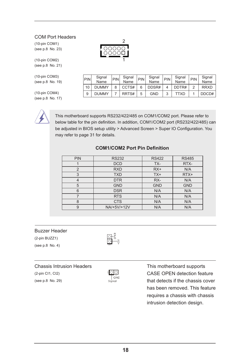#### COM Port Headers

(10-pin COM1) (see p.8 No. 23)

(10-pin COM2) (see p.8 No. 21)

(10-pin COM3) (see p.8 No. 19)

(10-pin COM4) (see p.8 No. 17)



| <b>PIN</b> | Signal<br>Name | 'PINI | Signal<br>Name | <b>PIN</b> | Signal<br>Name | <b>PIN</b> | Signal<br>Name | PIN        | Signal<br>Name |
|------------|----------------|-------|----------------|------------|----------------|------------|----------------|------------|----------------|
| 10         | <b>DUMMY</b>   | 8     | CCTS#          |            | DDSR#          |            | DDTR#          | $\sqrt{2}$ | <b>RRXD</b>    |
| 9          | <b>DUMMY</b>   |       | RRTS#          | 5          | <b>GND</b>     |            | TTXD           |            | DDCD#          |

 This motherboard supports RS232/422/485 on COM1/COM2 port. Please refer to below table for the pin definition. In addition, COM1/COM2 port (RS232/422/485) can be adjusted in BIOS setup utility > Advanced Screen > Super IO Configuration. You may refer to page 31 for details.

### **COM1/COM2 Port Pin Definition**

| <b>PIN</b>     | <b>RS232</b> | <b>RS422</b> | <b>RS485</b> |
|----------------|--------------|--------------|--------------|
|                | <b>DCD</b>   | TX-          | RTX-         |
| $\overline{2}$ | <b>RXD</b>   | $RX+$        | N/A          |
| 3              | <b>TXD</b>   | $TX+$        | RTX+         |
|                | <b>DTR</b>   | RX-          | N/A          |
| 5              | <b>GND</b>   | <b>GND</b>   | <b>GND</b>   |
| 6              | <b>DSR</b>   | N/A          | N/A          |
|                | <b>RTS</b>   | N/A          | N/A          |
| 8              | <b>CTS</b>   | N/A          | N/A          |
| 9              | NA/+5V/+12V  | N/A          | N/A          |

Buzzer Header

(2-pin BUZZ1) (see  $p.8$  No. 4)





Chassis Intrusion Headers This motherboard supports  $\sqrt{\frac{100}{\text{c}}}}$  CASE OPEN detection feature (see p.8 No. 29)  $\frac{1}{2}$  and  $\frac{1}{2}$  that detects if the chassis cover has been removed. This feature requires a chassis with chassis intrusion detection design.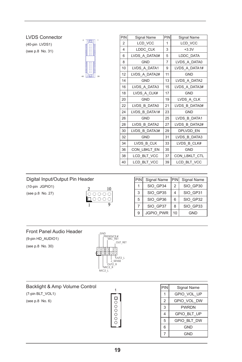### LVDS Connector

(40-pin LVDS1) (see p.8 No. 31)

| $\overline{2}$ |        |             |   | i  |
|----------------|--------|-------------|---|----|
|                |        |             |   |    |
|                |        |             |   |    |
|                |        | ۰           |   |    |
|                |        | ۰<br>٠      |   |    |
|                | į<br>č |             |   |    |
|                |        | ٠<br>٠<br>۰ | ı |    |
|                |        | ä<br>b<br>٠ |   |    |
|                |        | ۰           |   |    |
|                | ŧ      |             | ł |    |
| 40             |        |             |   | 39 |
|                |        |             |   |    |

| <b>PIN</b>     | Signal Name    | <b>PIN</b>     | Signal Name   |
|----------------|----------------|----------------|---------------|
| $\overline{2}$ | <b>LCD VCC</b> | 1              | LCD VCC       |
| 4              | LDDC CLK       | 3              | $+3.3V$       |
| 6              | LVDS A DATA0#  | 5              | LDDC DATA     |
| 8              | <b>GND</b>     | $\overline{7}$ | LVDS A DATA0  |
| 10             | LVDS A DATA1   | 9              | LVDS A DATA1# |
| 12             | LVDS A DATA2#  | 11             | <b>GND</b>    |
| 14             | <b>GND</b>     | 13             | LVDS A DATA2  |
| 16             | LVDS A DATA3   | 15             | LVDS A DATA3# |
| 18             | LVDS A CLK#    | 17             | <b>GND</b>    |
| 20             | <b>GND</b>     | 19             | LVDS_A_CLK    |
| 22             | LVDS B DATA0   | 21             | LVDS B DATA0# |
| 24             | LVDS B DATA1#  | 23             | <b>GND</b>    |
| 26             | <b>GND</b>     | 25             | LVDS B DATA1  |
| 28             | LVDS B DATA2   | 27             | LVDS B DATA2# |
| 30             | LVDS B DATA3#  | 29             | DPLVDD EN     |
| 32             | <b>GND</b>     | 31             | LVDS B DATA3  |
| 34             | LVDS B CLK     | 33             | LVDS B CLK#   |
| 36             | CON LBKLT EN   | 35             | <b>GND</b>    |
| 38             | LCD BLT VCC    | 37             | CON LBKLT CTL |
| 40             | LCD BLT VCC    | 39             | LCD BLT VCC   |
|                |                |                |               |

#### Digital Input/Output Pin Header

(10-pin JGPIO1)

(see p.8 No. 27)



| ΡIΝ | Signal Name      | PIN            | Signal Name |
|-----|------------------|----------------|-------------|
|     | SIO GP34         | $\overline{2}$ | SIO GP30    |
| 3   | SIO GP35         | 4              | SIO GP31    |
| 5   | SIO GP36         | 6              | SIO GP32    |
|     | SIO GP37         | 8              | SIO GP33    |
| 9   | <b>JGPIO PWR</b> | 10             | GND         |

### Front Panel Audio Header

(9-pin HD\_AUDIO1)

(see p.8 No. 30)



### Backlight & Amp Volume Control

(7-pin BLT\_VOL1)

(see p.8 No. 6)



| PIN<br>Signal Name<br>GPIO VOL UP<br>1<br>$\overline{2}$<br>GPIO VOL DW<br>3<br><b>PWRDN</b> |
|----------------------------------------------------------------------------------------------|
|                                                                                              |
|                                                                                              |
|                                                                                              |
|                                                                                              |
| 4<br><b>GPIO BLT UP</b>                                                                      |
| 5<br><b>GPIO BLT DW</b>                                                                      |
| 6<br><b>GND</b>                                                                              |
| GND                                                                                          |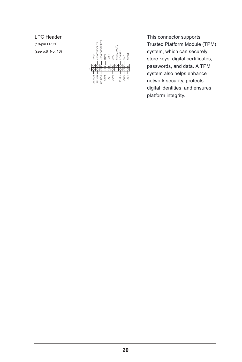

LPC Header This connector supports (19-pin LPC1)  $\frac{2}{3}$   $\frac{2}{3}$   $\frac{2}{3}$   $\frac{2}{3}$   $\frac{2}{3}$   $\frac{2}{3}$   $\frac{2}{3}$   $\frac{2}{3}$   $\frac{2}{3}$   $\frac{2}{3}$   $\frac{2}{3}$   $\frac{2}{3}$   $\frac{2}{3}$   $\frac{2}{3}$   $\frac{2}{3}$   $\frac{2}{3}$   $\frac{2}{3}$   $\frac{2}{3}$   $\frac{2}{3}$   $\frac{2}{3}$   $\frac{2}{3$ (see p.8 No. 16)  $\begin{matrix} 0 & \frac{3}{5} & \frac{3}{5} & \frac{3}{5} & \frac{3}{5} & \frac{3}{5} & \frac{3}{5} & \frac{3}{5} & \frac{3}{5} & \frac{3}{5} & \frac{3}{5} & \frac{3}{5} & \frac{3}{5} & \frac{3}{5} & \frac{3}{5} & \frac{3}{5} & \frac{3}{5} & \frac{3}{5} & \frac{3}{5} & \frac{3}{5} & \frac{3}{5} & \frac{3}{5} & \frac{3}{5} & \frac{3}{5} & \frac{3}{5} & \frac{$ store keys, digital certificates, passwords, and data. A TPM system also helps enhance network security, protects digital identities, and ensures platform integrity.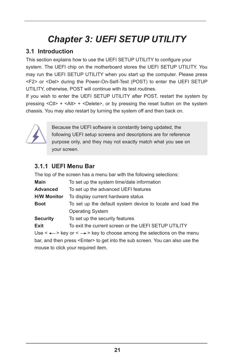# *Chapter 3: UEFI SETUP UTILITY*

### **3.1 Introduction**

This section explains how to use the UEFI SETUP UTILITY to configure your system. The UEFI chip on the motherboard stores the UEFI SETUP UTILITY. You may run the UEFI SETUP UTILITY when you start up the computer. Please press <F2> or <Del> during the Power-On-Self-Test (POST) to enter the UEFI SETUP UTILITY, otherwise, POST will continue with its test routines.

If you wish to enter the UEFI SETUP UTILITY after POST, restart the system by pressing  $\langle Ct \rangle$  +  $\langle A|t \rangle$  +  $\langle De| \rangle$  are by pressing the reset button on the system chassis. You may also restart by turning the system off and then back on.



Because the UEFI software is constantly being updated, the following UEFI setup screens and descriptions are for reference purpose only, and they may not exactly match what you see on your screen.

### **3.1.1 UEFI Menu Bar**

The top of the screen has a menu bar with the following selections:

| Main               | To set up the system time/date information                                              |
|--------------------|-----------------------------------------------------------------------------------------|
| <b>Advanced</b>    | To set up the advanced UEFI features                                                    |
| <b>H/W Monitor</b> | To display current hardware status                                                      |
| <b>Boot</b>        | To set up the default system device to locate and load the                              |
|                    | <b>Operating System</b>                                                                 |
| <b>Security</b>    | To set up the security features                                                         |
| Exit               | To exit the current screen or the UEFI SETUP UTILITY                                    |
|                    | Use $\leftarrow$ > key or $\leftarrow$ > key to choose among the selections on the menu |
|                    |                                                                                         |

bar, and then press <Enter> to get into the sub screen. You can also use the mouse to click your required item.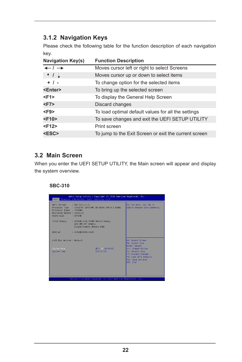### **3.1.2 Navigation Keys**

Please check the following table for the function description of each navigation key.

| <b>Navigation Key(s)</b>     | <b>Function Description</b>                           |  |  |
|------------------------------|-------------------------------------------------------|--|--|
| $\leftarrow$ / $\rightarrow$ | Moves cursor left or right to select Screens          |  |  |
| A/I                          | Moves cursor up or down to select items               |  |  |
| $+$ / $-$                    | To change option for the selected items               |  |  |
| <enter></enter>              | To bring up the selected screen                       |  |  |
| $<$ F1>                      | To display the General Help Screen                    |  |  |
| $<$ F7>                      | Discard changes                                       |  |  |
| $<$ F9>                      | To load optimal default values for all the settings   |  |  |
| $<$ F10 $>$                  | To save changes and exit the UEFI SETUP UTILITY       |  |  |
| $<$ F12>                     | Print screen                                          |  |  |
| <esc></esc>                  | To jump to the Exit Screen or exit the current screen |  |  |

### **3.2 Main Screen**

When you enter the UEFI SETUP UTILITY, the Main screen will appear and display the system overview.

### **SBC-310**

| Aotio Setup Utility - Copyright (C) 2012 American Megatrends, Inc.<br>Hain Advanced H/H Monitor Boot Security Exit |                                                                                       |                                                                                                                            |
|--------------------------------------------------------------------------------------------------------------------|---------------------------------------------------------------------------------------|----------------------------------------------------------------------------------------------------------------------------|
| LIFET Version : SBC-310 LO.10<br>Processor Speed : 1900MHz<br>Microcode Update : 40651/10<br>Cache Size            | Processor Tupe : Intel(R) Core(TM) i5-4300U CPU @ 1.90GHz<br>: 3072KB                 | Set the Date. Use Tab to<br>switch between Date elements.                                                                  |
| Total Memory                                                                                                       | : 4096MB with 256MB Shared Memory<br>and 2MB GTT memory<br>Single-Channel Memory Mode |                                                                                                                            |
| DDR3 A1                                                                                                            | : 4096MB (DDR3-1600)                                                                  |                                                                                                                            |
| LVDS Rom Version : Default                                                                                         |                                                                                       | ++: Select Screen<br>11: Select Ttem<br>Enter: Select                                                                      |
| System Date<br>System Time                                                                                         | [Fri 02/06/2015]<br>[18:10:09]                                                        | +/-: Change Option<br>F1: General Help<br>F7: Discard Changes<br>F9: Load UEFI Defaults<br>F10: Save and Exit<br>ESC: Exit |
|                                                                                                                    | Version 2.15.1234. Copyright (C) 2012 American Megatrends, Inc.                       |                                                                                                                            |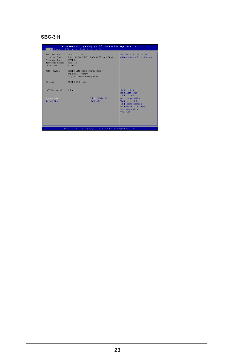### **SBC-311**

|                                                                                               | Main Advanced H/W Monitor Boot Security Exit                                          | Aotio Setup Utility - Copyright (C) 2012 American Megatrends, Inc. |                                                                                                                                     |
|-----------------------------------------------------------------------------------------------|---------------------------------------------------------------------------------------|--------------------------------------------------------------------|-------------------------------------------------------------------------------------------------------------------------------------|
| <b>HEET Version</b><br>Processor Speed : 1900MHz<br>Microcode Update : 40651/10<br>Cache Size | $:$ SBC=311 $\pm$ 0.10<br>: 3072KR                                                    | Processor Tupe : Intel(R) Core(TM) i5-4300U CPU @ 1.90GHz          | Set the Date, Use Tab to<br>suitch between Date elements.                                                                           |
| Total Memory                                                                                  | : 4096MB with 256MB Shared Memory<br>and 2MB GTT memory<br>Single-Channel Memory Mode |                                                                    |                                                                                                                                     |
| DDR3 A1                                                                                       | : 4096MB (DDR3-1600)                                                                  |                                                                    |                                                                                                                                     |
| LVDS Rom Version : Default                                                                    |                                                                                       |                                                                    | ++: Select Screen<br><b>11:</b> Select Ttem<br>Enter: Select                                                                        |
| System Date<br>System Time                                                                    |                                                                                       | [Fri 02/06/2015]<br>[18:10:09]                                     | $+\angle -$ : Change Option<br>F1: General Help<br>F7: Discard Changes<br>F9: Load UEFI Defaults<br>F10: Save and Exit<br>ESC: Exit |
|                                                                                               |                                                                                       | Version 2.15.1234, Copyright (C) 2012 American Megatrends, Inc.    |                                                                                                                                     |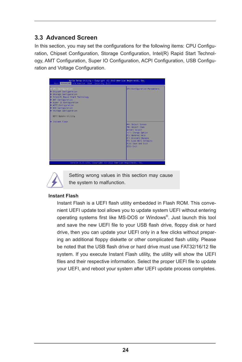### **3.3 Advanced Screen**

In this section, you may set the configurations for the following items: CPU Configuration, Chipset Configuration, Storage Configuration, Intel(R) Rapid Start Technology, AMT Configuration, Super IO Configuration, ACPI Configuration, USB Configuration and Voltage Configuration.



Setting wrong values in this section may cause the system to malfunction.

### **Instant Flash**

Instant Flash is a UEFI flash utility embedded in Flash ROM. This convenient UEFI update tool allows you to update system UEFI without entering operating systems first like MS-DOS or Windows® . Just launch this tool and save the new UEFI file to your USB flash drive, floppy disk or hard drive, then you can update your UEFI only in a few clicks without preparing an additional floppy diskette or other complicated flash utility. Please be noted that the USB flash drive or hard drive must use FAT32/16/12 file system. If you execute Instant Flash utility, the utility will show the UEFI files and their respective information. Select the proper UEFI file to update your UEFI, and reboot your system after UEFI update process completes.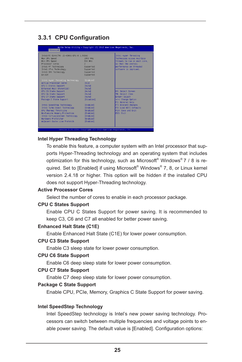### **3.3.1 CPU Configuration**

| Advanced                                                                                                                                                                                                                                                                                                                                                                     | Aotio Setup Utility - Copyright (C) 2012 American Megatrends, Inc.                                                                                                        |                                                                                                                                                                                            |
|------------------------------------------------------------------------------------------------------------------------------------------------------------------------------------------------------------------------------------------------------------------------------------------------------------------------------------------------------------------------------|---------------------------------------------------------------------------------------------------------------------------------------------------------------------------|--------------------------------------------------------------------------------------------------------------------------------------------------------------------------------------------|
| Tntel(R) Core(TM) {5-4300U CPU @ 1.90GHz<br>Max CPU Speed<br>Min CPU Speed<br>Processor Cores<br>Intel HT Technology<br>Intel VT-x Technology<br>Intel SMX Technology<br>$64-hit$<br>Intel Hyper Threading Technology<br>Active Processor Cores                                                                                                                              | 1900 NH <sub>2</sub><br>800 MHz<br>$\overline{2}$<br>Supported<br>Supported<br>Supported<br>Supported<br>[Enabled]<br>[611]<br><b>FAuto1</b>                              | Intel Huper Threading<br>Technology allows multiple<br>threads to run on each core.<br>so that the overall<br>performance on threaded<br>software is improved.                             |
| <b>CPU C States Support</b><br>Enhanced Halt State(C1E)<br>CPU C3 State Support<br>CPU C6 State Support<br>CPU C7 State Support<br>Package C State Support<br>Intel SpeedStep Technology<br>Intel Turbo Boost Technology<br>CPU Thermal Throttling<br>No-Execute Memory Protection<br>Intel Virtualization Technology<br>Handwane Prefetchen<br>Adjacent Cache Line Prefetch | <b>TAutol</b><br><b>FAuto1</b><br><b>Fautol</b><br><b>fautol</b><br>[Disabled]<br>[Enabled]<br>[Enabled]<br>[Enabled]<br>[Enabled]<br>[Enabled]<br>[Enabled]<br>[Enabled] | ++: Select Screen<br>14: Select Item<br>Enter: Select<br>+/-: Change Option<br>F1: General Help<br>F7: Discard Changes<br>F9: Load UEFI Defaults<br>F10: Save and Exit<br><b>ESC: Exit</b> |

### **Intel Hyper Threading Technology**

To enable this feature, a computer system with an Intel processor that supports Hyper-Threading technology and an operating system that includes optimization for this technology, such as Microsoft® Windows® 7 / 8 is required. Set to [Enabled] if using Microsoft® Windows® 7, 8, or Linux kernel version 2.4.18 or higher. This option will be hidden if the installed CPU does not support Hyper-Threading technology.

#### **Active Processor Cores**

Select the number of cores to enable in each processor package.

#### **CPU C States Support**

Enable CPU C States Support for power saving. It is recommended to keep C3, C6 and C7 all enabled for better power saving.

#### **Enhanced Halt State (C1E)**

Enable Enhanced Halt State (C1E) for lower power consumption.

#### **CPU C3 State Support**

Enable C3 sleep state for lower power consumption.

#### **CPU C6 State Support**

Enable C6 deep sleep state for lower power consumption.

#### **CPU C7 State Support**

Enable C7 deep sleep state for lower power consumption.

### **Package C State Support**

Enable CPU, PCIe, Memory, Graphics C State Support for power saving.

#### **Intel SpeedStep Technology**

Intel SpeedStep technology is Intel's new power saving technology. Processors can switch between multiple frequencies and voltage points to enable power saving. The default value is [Enabled]. Configuration options: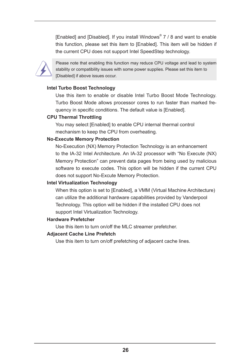[Enabled] and [Disabled]. If you install Windows<sup>®</sup> 7 / 8 and want to enable this function, please set this item to [Enabled]. This item will be hidden if the current CPU does not support Intel SpeedStep technology.



Please note that enabling this function may reduce CPU voltage and lead to system stability or compatibility issues with some power supplies. Please set this item to [Disabled] if above issues occur.

### **Intel Turbo Boost Technology**

Use this item to enable or disable Intel Turbo Boost Mode Technology. Turbo Boost Mode allows processor cores to run faster than marked frequency in specific conditions. The default value is [Enabled].

### **CPU Thermal Throttling**

You may select [Enabled] to enable CPU internal thermal control mechanism to keep the CPU from overheating.

### **No-Execute Memory Protection**

No-Execution (NX) Memory Protection Technology is an enhancement to the IA-32 Intel Architecture. An IA-32 processor with "No Execute (NX) Memory Protection" can prevent data pages from being used by malicious software to execute codes. This option will be hidden if the current CPU does not support No-Excute Memory Protection.

### **Intel Virtualization Technology**

When this option is set to [Enabled], a VMM (Virtual Machine Architecture) can utilize the additional hardware capabilities provided by Vanderpool Technology. This option will be hidden if the installed CPU does not support Intel Virtualization Technology.

#### **Hardware Prefetcher**

Use this item to turn on/off the MLC streamer prefetcher.

### **Adjacent Cache Line Prefetch**

Use this item to turn on/off prefetching of adjacent cache lines.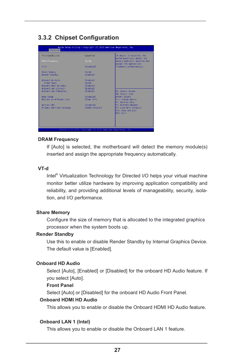### **3.3.2 Chipset Configuration**

| Advanced                  | Aotio Setup Utility - Copyright (C) 2012 American Megatrends, Inc. |                                                           |
|---------------------------|--------------------------------------------------------------------|-----------------------------------------------------------|
| VT-d Capability           | Supported                                                          | If [Auto] is selected, the<br>motherhoard will detect the |
| <b>DRAM Frequency</b>     | [Auto]                                                             | memory module(s) inserted and<br>assign the appropriate   |
| $VT - d$                  | <b>[Disabled]</b>                                                  | frequency automatically.                                  |
| Share Nemory              | [Auto]                                                             |                                                           |
| Render Standbu            | [Enabled]                                                          |                                                           |
| Ophnard HD Audio          | [Enab1ed]                                                          |                                                           |
| Front Panel               | <b>fAutol</b>                                                      |                                                           |
| Ophoard HOMT HD Audio     | [Enab1ed]                                                          |                                                           |
| Onboard LAN 1(Intel)      | [Enab1ed]                                                          |                                                           |
| Dnboard LAN 2(Realtek)    | [Enab1ed]                                                          | ++: Select Screen                                         |
|                           |                                                                    | 14: Select Item                                           |
| Deep Sleep                | <b>fDisabled</b>                                                   | Enter: Select                                             |
| Restore on AC/Power Loss  | (Power Off)                                                        | +/-: Change Option                                        |
|                           |                                                                    | F1: General Help                                          |
| Active LVDS               | <b>[Disabled]</b>                                                  | F7: Discard Changes                                       |
| Primary IGFX Boot Display | [VBIOS Default]                                                    | F9: Load UEFI Defaults                                    |
|                           |                                                                    | F10: Save and Exit                                        |
|                           |                                                                    | ESC: Exit                                                 |
|                           |                                                                    |                                                           |
|                           |                                                                    |                                                           |
|                           |                                                                    |                                                           |
|                           |                                                                    |                                                           |
|                           |                                                                    |                                                           |

### **DRAM Frequency**

If [Auto] is selected, the motherboard will detect the memory module(s) inserted and assign the appropriate frequency automatically.

### **VT-d**

Intel® Virtualization Technology for Directed I/O helps your virtual machine monitor better utilize hardware by improving application compatibility and reliability, and providing additional levels of manageability, security, isolation, and I/O performance.

### **Share Memory**

 Configure the size of memory that is allocated to the integrated graphics processor when the system boots up.

### **Render Standby**

 Use this to enable or disable Render Standby by Internal Graphics Device. The default value is [Enabled].

### **Onboard HD Audio**

Select [Auto], [Enabled] or [Disabled] for the onboard HD Audio feature. If you select [Auto].

### **Front Panel**

Select [Auto] or [Disabled] for the onboard HD Audio Front Panel.

### **Onboard HDMI HD Audio**

This allows you to enable or disable the Onboard HDMI HD Audio feature.

### **Onboard LAN 1 (Intel)**

This allows you to enable or disable the Onboard LAN 1 feature.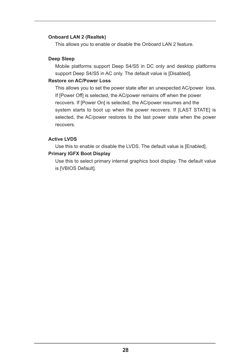### **Onboard LAN 2 (Realtek)**

This allows you to enable or disable the Onboard LAN 2 feature.

### **Deep Sleep**

Mobile platforms support Deep S4/S5 in DC only and desktop platforms support Deep S4/S5 in AC only. The default value is [Disabled].

### **Restore on AC/Power Loss**

This allows you to set the power state after an unexpected AC/power loss. If [Power Off] is selected, the AC/power remains off when the power recovers. If [Power On] is selected, the AC/power resumes and the system starts to boot up when the power recovers. If [LAST STATE] is selected, the AC/power restores to the last power state when the power recovers.

### **Active LVDS**

Use this to enable or disable the LVDS. The default value is [Enabled].

### **Primary IGFX Boot Display**

Use this to select primary internal graphics boot display. The default value is [VBIOS Default].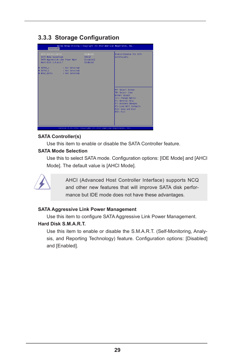### **3.3.3 Storage Configuration**



### **SATA Controller(s)**

Use this item to enable or disable the SATA Controller feature.

### **SATA Mode Selection**

Use this to select SATA mode. Configuration options: [IDE Mode] and [AHCI Mode]. The default value is [AHCI Mode].



AHCI (Advanced Host Controller Interface) supports NCQ and other new features that will improve SATA disk performance but IDE mode does not have these advantages.

### **SATA Aggressive Link Power Management**

Use this item to configure SATA Aggressive Link Power Management.

### **Hard Disk S.M.A.R.T.**

Use this item to enable or disable the S.M.A.R.T. (Self-Monitoring, Analysis, and Reporting Technology) feature. Configuration options: [Disabled] and [Enabled].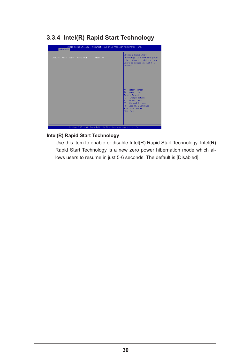### **3.3.4 Intel(R) Rapid Start Technology**



### **Intel(R) Rapid Start Technology**

Use this item to enable or disable Intel(R) Rapid Start Technology. Intel(R) Rapid Start Technology is a new zero power hibernation mode which allows users to resume in just 5-6 seconds. The default is [Disabled].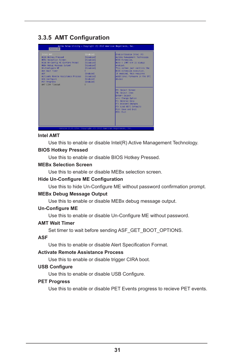### **3.3.5 AMT Configuration**

| Advanced                                                                                                                                                                                                                                                                                             | Aptio Setup Utility - Copyright (C) 2012 American Megatrends, Inc.                                                                                                                       |                                                                                                                                                                                                                                                                                                                                                                                                                                                           |
|------------------------------------------------------------------------------------------------------------------------------------------------------------------------------------------------------------------------------------------------------------------------------------------------------|------------------------------------------------------------------------------------------------------------------------------------------------------------------------------------------|-----------------------------------------------------------------------------------------------------------------------------------------------------------------------------------------------------------------------------------------------------------------------------------------------------------------------------------------------------------------------------------------------------------------------------------------------------------|
| Intel ANT<br><b>BIOS Hotkey Pressed</b><br><b>MEBx Selection Screen</b><br>Hide Un-Config ME Confirm Promot<br><b>MEBx Debug Message Output</b><br>Un-Configure ME<br>Ant Hait Timer<br>ASE<br>Activate Remote Assistance Process<br><b>USB Configure</b><br><b>PET Progress</b><br>AMT CIRA Timeout | [Enabled]<br>[Disabled]<br>[Disabled]<br><b>[Disabled]</b><br><b>[Disabled]</b><br><b>[Disabled]</b><br>Λ<br>[Enabled]<br><b>[Disabled]</b><br><b>[Enabled]</b><br>[Enab1ed]<br>$\Omega$ | Enable/Disable Intel (R)<br>Active Management Technology<br><b>BTOS Extension.</b><br>Note : iAMT H/W is always<br>enabled.<br>This option just controls the<br>BIOS extension execution.<br>If enabled, this requires<br>additional firmware in the SPI<br>device<br>++: Select Screen<br>14: Select Item<br>Enter: Select<br>+/-: Change Option<br>F1: General Help<br>F7: Discard Changes<br>F9: Load UEFI Defaults<br>F10: Save and Exit<br>ESC: Exit |
|                                                                                                                                                                                                                                                                                                      | Vension 2 15 1234, Conunight (C) 2012 American Regateends, Inc.                                                                                                                          |                                                                                                                                                                                                                                                                                                                                                                                                                                                           |

#### **Intel AMT**

Use this to enable or disable Intel(R) Active Management Technology.

### **BIOS Hotkey Pressed**

Use this to enable or disable BIOS Hotkey Pressed.

#### **MEBx Selection Screen**

Use this to enable or disable MEBx selection screen.

#### **Hide Un-Configure ME Configuration**

Use this to hide Un-Configure ME without password confirmation prompt.

#### **MEBx Debug Message Output**

Use this to enable or disable MEBx debug message output.

#### **Un-Configure ME**

Use this to enable or disable Un-Configure ME without password.

#### **AMT Wait Timer**

Set timer to wait before sending ASF\_GET\_BOOT\_OPTIONS.

#### **ASF**

Use this to enable or disable Alert Specification Format.

#### **Activate Remote Assistance Process**

Use this to enable or disable trigger CIRA boot.

#### **USB Configure**

Use this to enable or disable USB Configure.

### **PET Progress**

Use this to enable or disable PET Events progress to recieve PET events.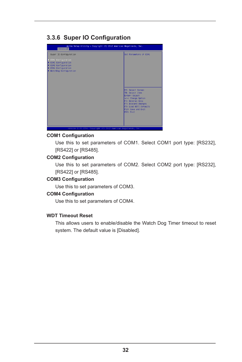### **3.3.6 Super IO Configuration**



### **COM1 Configuration**

Use this to set parameters of COM1. Select COM1 port type: [RS232], [RS422] or [RS485].

### **COM2 Configuration**

Use this to set parameters of COM2. Select COM2 port type: [RS232], [RS422] or [RS485].

### **COM3 Configuration**

Use this to set parameters of COM3.

### **COM4 Configuration**

Use this to set parameters of COM4.

### **WDT Timeout Reset**

This allows users to enable/disable the Watch Dog Timer timeout to reset system. The default value is [Disabled].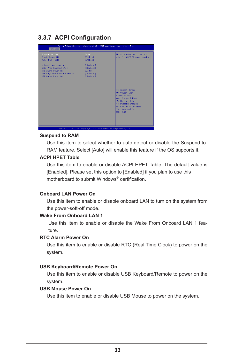### **3.3.7 ACPI Configuration**



### **Suspend to RAM**

Use this item to select whether to auto-detect or disable the Suspend-to-RAM feature. Select [Auto] will enable this feature if the OS supports it.

#### **ACPI HPET Table**

Use this item to enable or disable ACPI HPET Table. The default value is [Enabled]. Please set this option to [Enabled] if you plan to use this motherboard to submit Windows® certification.

### **Onboard LAN Power On**

Use this item to enable or disable onboard LAN to turn on the system from the power-soft-off mode.

### **Wake From Onboard LAN 1**

Use this item to enable or disable the Wake From Onboard LAN 1 feature.

#### **RTC Alarm Power On**

Use this item to enable or disable RTC (Real Time Clock) to power on the system.

#### **USB Keyboard/Remote Power On**

Use this item to enable or disable USB Keyboard/Remote to power on the system.

#### **USB Mouse Power On**

Use this item to enable or disable USB Mouse to power on the system.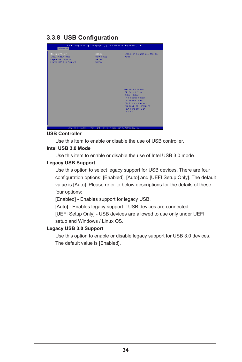### **3.3.8 USB Configuration**



### **USB Controller**

Use this item to enable or disable the use of USB controller.

### **Intel USB 3.0 Mode**

Use this item to enable or disable the use of Intel USB 3.0 mode.

### **Legacy USB Support**

Use this option to select legacy support for USB devices. There are four configuration options: [Enabled], [Auto] and [UEFI Setup Only]. The default value is [Auto]. Please refer to below descriptions for the details of these four options:

[Enabled] - Enables support for legacy USB.

[Auto] - Enables legacy support if USB devices are connected.

[UEFI Setup Only] - USB devices are allowed to use only under UEFI setup and Windows / Linux OS.

### **Legacy USB 3.0 Support**

Use this option to enable or disable legacy support for USB 3.0 devices. The default value is [Enabled].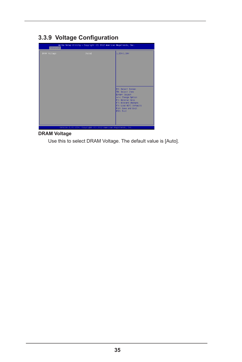### **3.3.9 Voltage Configuration**



### **DRAM Voltage**

Use this to select DRAM Voltage. The default value is [Auto].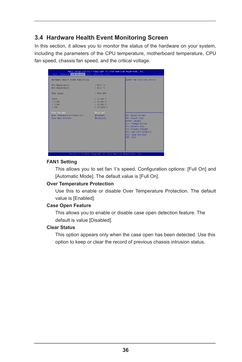### **3.4 Hardware Health Event Monitoring Screen**

In this section, it allows you to monitor the status of the hardware on your system, including the parameters of the CPU temperature, motherboard temperature, CPU fan speed, chassis fan speed, and the critical voltage.

| Main Advanced H/H Monitor Boot Security Exit                     | Aotio Setup Utility - Copyright (C) 2012 American Megatrends, Inc. |                                                                                                                                                                                                   |
|------------------------------------------------------------------|--------------------------------------------------------------------|---------------------------------------------------------------------------------------------------------------------------------------------------------------------------------------------------|
| Hardware Health Event Monitoring                                 |                                                                    | Quiet Ean Eunction Control                                                                                                                                                                        |
| CPU Temperature<br>M/B Temperature                               | : 58.5 °C<br>: 44.0 °C                                             |                                                                                                                                                                                                   |
| FAN1 Speed                                                       | : 5094 RPM                                                         |                                                                                                                                                                                                   |
| Vonce<br>$+ 3.30V$<br>$+ 5.00V$<br>$+$ VIN                       | $: +1.744$ V<br>$: +3.424$ V<br>$: +5.136$ V<br>$: +19.608$ V      |                                                                                                                                                                                                   |
| FAN1 Setting<br>Over Temperature Protection<br>Case Open Feature | [Full On]<br>[Enab1ed]<br><b>[Disabled]</b>                        | <b>++: Select Screen</b><br>14: Select Item<br>Enter: Select<br>+/-: Change Option<br>F1: General Help<br>F7: Discard Changes<br>F9: Load UEFI Defaults<br>F10: Save and Exit<br><b>ESC: Exit</b> |
|                                                                  | Version 2.15.1234. Copyright (C) 2012 American Megatrends, Inc.    |                                                                                                                                                                                                   |

### **FAN1 Setting**

This allows you to set fan 1's speed. Configuration options: [Full On] and [Automatic Mode]. The default value is [Full On].

### **Over Temperature Protection**

Use this to enable or disable Over Temperature Protection. The default value is [Enabled].

### **Case Open Feature**

This allows you to enable or disable case open detection feature. The default is value [Disabled].

### **Clear Status**

This option appears only when the case open has been detected. Use this option to keep or clear the record of previous chassis intrusion status.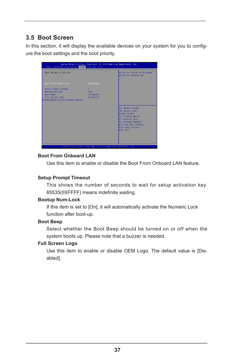### **3.5 Boot Screen**

In this section, it will display the available devices on your system for you to configure the boot settings and the boot priority.



### **Boot From Onboard LAN**

Use this item to enable or disable the Boot From Onboard LAN feature.

### **Setup Prompt Timeout**

This shows the number of seconds to wait for setup activation key. 65535(0XFFFF) means indefinite waiting.

### **Bootup Num-Lock**

If this item is set to [On], it will automatically activate the Numeric Lock function after boot-up.

### **Boot Beep**

Select whether the Boot Beep should be turned on or off when the system boots up. Please note that a buzzer is needed.

### **Full Screen Logo**

Use this item to enable or disable OEM Logo. The default value is [Disabled].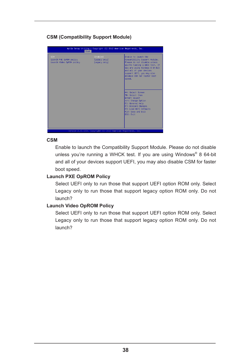### **CSM (Compatibility Support Module)**



#### **CSM**

Enable to launch the Compatibility Support Module. Please do not disable unless you're running a WHCK test. If you are using Windows® 8 64-bit and all of your devices support UEFI, you may also disable CSM for faster boot speed.

#### **Launch PXE OpROM Policy**

Select UEFI only to run those that support UEFI option ROM only. Select Legacy only to run those that support legacy option ROM only. Do not launch?

### **Launch Video OpROM Policy**

Select UEFI only to run those that support UEFI option ROM only. Select Legacy only to run those that support legacy option ROM only. Do not launch?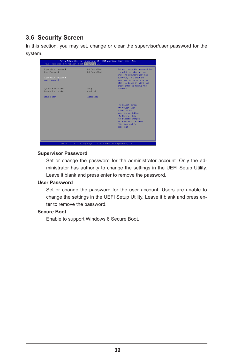### **3.6 Security Screen**

In this section, you may set, change or clear the supervisor/user password for the system.

| Supervisor Password<br><b>Hsen Passimnd</b><br>Supervisor Password<br><b>Hsen Passimnd</b> | Not Installed<br>Not Installed | Set or change the password for<br>the administrator account.<br>Only the administrator has<br>authority to change the<br>settings in the UEFI Setup<br>Utility, Leave it blank and<br>press enter to remove the |
|--------------------------------------------------------------------------------------------|--------------------------------|-----------------------------------------------------------------------------------------------------------------------------------------------------------------------------------------------------------------|
| System Mode state<br>Secure Boot state                                                     | Setup<br>Disabled              | nassimed.                                                                                                                                                                                                       |
| Secure Boot                                                                                | [Disabled]                     |                                                                                                                                                                                                                 |
|                                                                                            |                                | ++: Select Screen<br>14: Select Item<br>Enter: Select<br>+/-: Change Option<br>F1: General Help<br>F7: Discard Changes<br>F9: Load UEFI Defaults<br>F10: Save and Exit<br>ESC: Exit                             |

### **Supervisor Password**

Set or change the password for the administrator account. Only the administrator has authority to change the settings in the UEFI Setup Utility. Leave it blank and press enter to remove the password.

### **User Password**

Set or change the password for the user account. Users are unable to change the settings in the UEFI Setup Utility. Leave it blank and press enter to remove the password.

#### **Secure Boot**

Enable to support Windows 8 Secure Boot.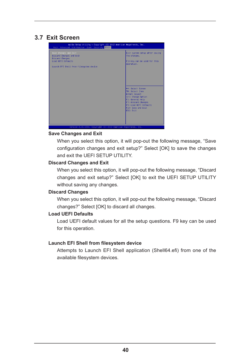### **3.7 Exit Screen**



### **Save Changes and Exit**

When you select this option, it will pop-out the following message, "Save configuration changes and exit setup?" Select [OK] to save the changes and exit the UEFI SETUP UTILITY.

### **Discard Changes and Exit**

When you select this option, it will pop-out the following message, "Discard changes and exit setup?" Select [OK] to exit the UEFI SETUP UTILITY without saving any changes.

### **Discard Changes**

When you select this option, it will pop-out the following message, "Discard changes?" Select [OK] to discard all changes.

### **Load UEFI Defaults**

Load UEFI default values for all the setup questions. F9 key can be used for this operation.

### **Launch EFI Shell from filesystem device**

Attempts to Launch EFI Shell application (Shell64.efi) from one of the available filesystem devices.